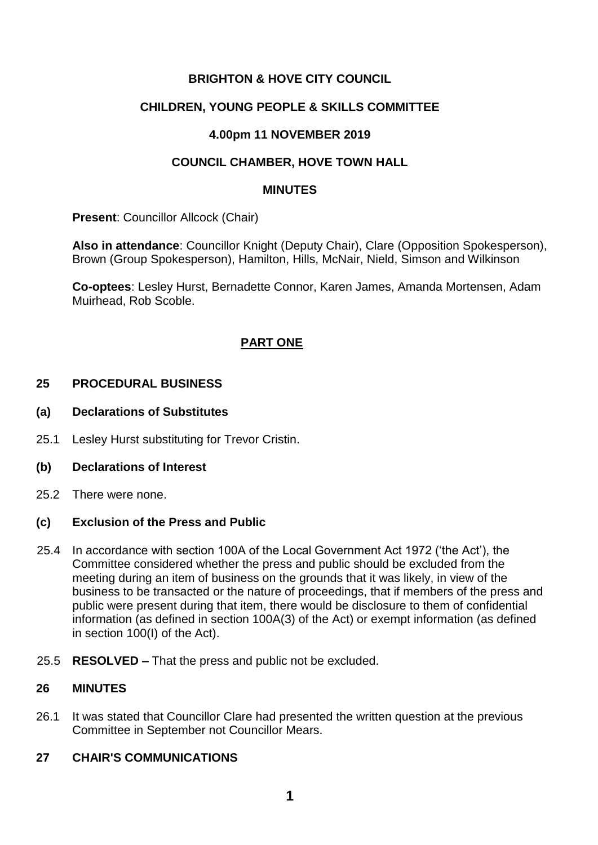# **BRIGHTON & HOVE CITY COUNCIL**

## **CHILDREN, YOUNG PEOPLE & SKILLS COMMITTEE**

## **4.00pm 11 NOVEMBER 2019**

## **COUNCIL CHAMBER, HOVE TOWN HALL**

#### **MINUTES**

**Present: Councillor Allcock (Chair)** 

**Also in attendance**: Councillor Knight (Deputy Chair), Clare (Opposition Spokesperson), Brown (Group Spokesperson), Hamilton, Hills, McNair, Nield, Simson and Wilkinson

**Co-optees**: Lesley Hurst, Bernadette Connor, Karen James, Amanda Mortensen, Adam Muirhead, Rob Scoble.

## **PART ONE**

#### **25 PROCEDURAL BUSINESS**

- **(a) Declarations of Substitutes**
- 25.1 Lesley Hurst substituting for Trevor Cristin.
- **(b) Declarations of Interest**
- 25.2 There were none.

## **(c) Exclusion of the Press and Public**

- 25.4 In accordance with section 100A of the Local Government Act 1972 ('the Act'), the Committee considered whether the press and public should be excluded from the meeting during an item of business on the grounds that it was likely, in view of the business to be transacted or the nature of proceedings, that if members of the press and public were present during that item, there would be disclosure to them of confidential information (as defined in section 100A(3) of the Act) or exempt information (as defined in section 100(I) of the Act).
- 25.5 **RESOLVED –** That the press and public not be excluded.

## **26 MINUTES**

26.1 It was stated that Councillor Clare had presented the written question at the previous Committee in September not Councillor Mears.

## **27 CHAIR'S COMMUNICATIONS**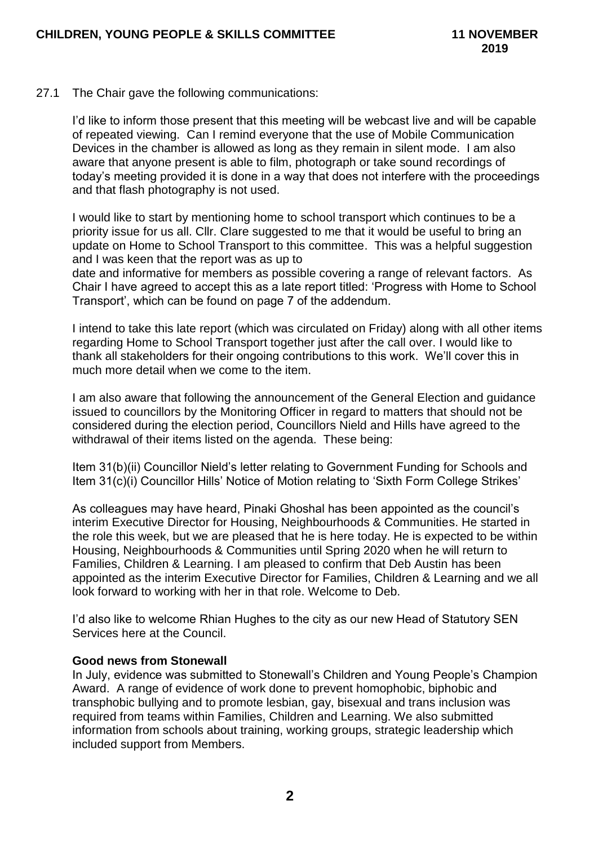#### 27.1 The Chair gave the following communications:

I'd like to inform those present that this meeting will be webcast live and will be capable of repeated viewing. Can I remind everyone that the use of Mobile Communication Devices in the chamber is allowed as long as they remain in silent mode. I am also aware that anyone present is able to film, photograph or take sound recordings of today's meeting provided it is done in a way that does not interfere with the proceedings and that flash photography is not used.

I would like to start by mentioning home to school transport which continues to be a priority issue for us all. Cllr. Clare suggested to me that it would be useful to bring an update on Home to School Transport to this committee. This was a helpful suggestion and I was keen that the report was as up to

date and informative for members as possible covering a range of relevant factors. As Chair I have agreed to accept this as a late report titled: 'Progress with Home to School Transport', which can be found on page 7 of the addendum.

I intend to take this late report (which was circulated on Friday) along with all other items regarding Home to School Transport together just after the call over. I would like to thank all stakeholders for their ongoing contributions to this work. We'll cover this in much more detail when we come to the item.

I am also aware that following the announcement of the General Election and guidance issued to councillors by the Monitoring Officer in regard to matters that should not be considered during the election period, Councillors Nield and Hills have agreed to the withdrawal of their items listed on the agenda. These being:

Item 31(b)(ii) Councillor Nield's letter relating to Government Funding for Schools and Item 31(c)(i) Councillor Hills' Notice of Motion relating to 'Sixth Form College Strikes'

As colleagues may have heard, Pinaki Ghoshal has been appointed as the council's interim Executive Director for Housing, Neighbourhoods & Communities. He started in the role this week, but we are pleased that he is here today. He is expected to be within Housing, Neighbourhoods & Communities until Spring 2020 when he will return to Families, Children & Learning. I am pleased to confirm that Deb Austin has been appointed as the interim Executive Director for Families, Children & Learning and we all look forward to working with her in that role. Welcome to Deb.

I'd also like to welcome Rhian Hughes to the city as our new Head of Statutory SEN Services here at the Council.

## **Good news from Stonewall**

In July, evidence was submitted to Stonewall's Children and Young People's Champion Award. A range of evidence of work done to prevent homophobic, biphobic and transphobic bullying and to promote lesbian, gay, bisexual and trans inclusion was required from teams within Families, Children and Learning. We also submitted information from schools about training, working groups, strategic leadership which included support from Members.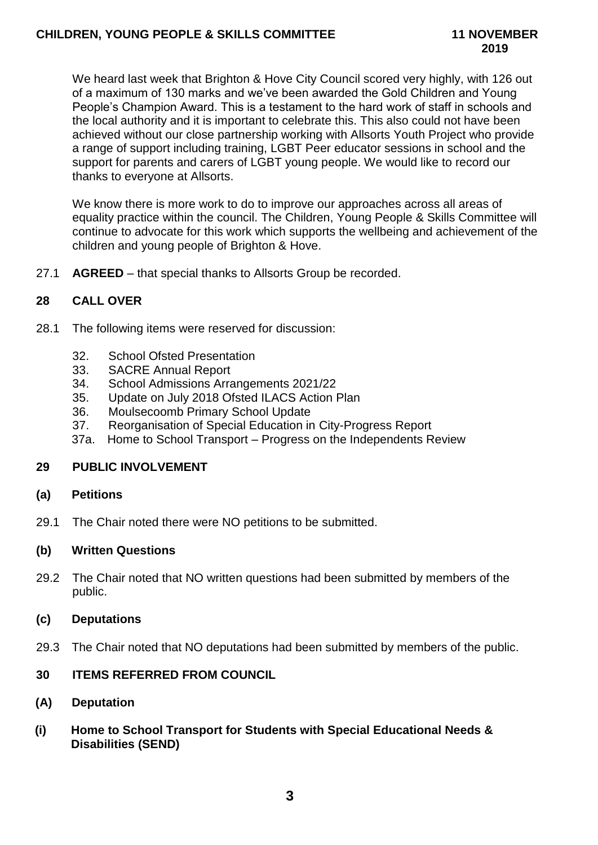We heard last week that Brighton & Hove City Council scored very highly, with 126 out of a maximum of 130 marks and we've been awarded the Gold Children and Young People's Champion Award. This is a testament to the hard work of staff in schools and the local authority and it is important to celebrate this. This also could not have been achieved without our close partnership working with Allsorts Youth Project who provide a range of support including training, LGBT Peer educator sessions in school and the support for parents and carers of LGBT young people. We would like to record our thanks to everyone at Allsorts.

We know there is more work to do to improve our approaches across all areas of equality practice within the council. The Children, Young People & Skills Committee will continue to advocate for this work which supports the wellbeing and achievement of the children and young people of Brighton & Hove.

27.1 **AGREED** – that special thanks to Allsorts Group be recorded.

# **28 CALL OVER**

- 28.1 The following items were reserved for discussion:
	- 32. School Ofsted Presentation
	- 33. SACRE Annual Report
	- 34. School Admissions Arrangements 2021/22
	- 35. Update on July 2018 Ofsted ILACS Action Plan
	- 36. Moulsecoomb Primary School Update
	- 37. Reorganisation of Special Education in City-Progress Report
	- 37a. Home to School Transport Progress on the Independents Review

## **29 PUBLIC INVOLVEMENT**

#### **(a) Petitions**

29.1 The Chair noted there were NO petitions to be submitted.

## **(b) Written Questions**

29.2 The Chair noted that NO written questions had been submitted by members of the public.

## **(c) Deputations**

29.3 The Chair noted that NO deputations had been submitted by members of the public.

## **30 ITEMS REFERRED FROM COUNCIL**

## **(A) Deputation**

**(i) Home to School Transport for Students with Special Educational Needs & Disabilities (SEND)**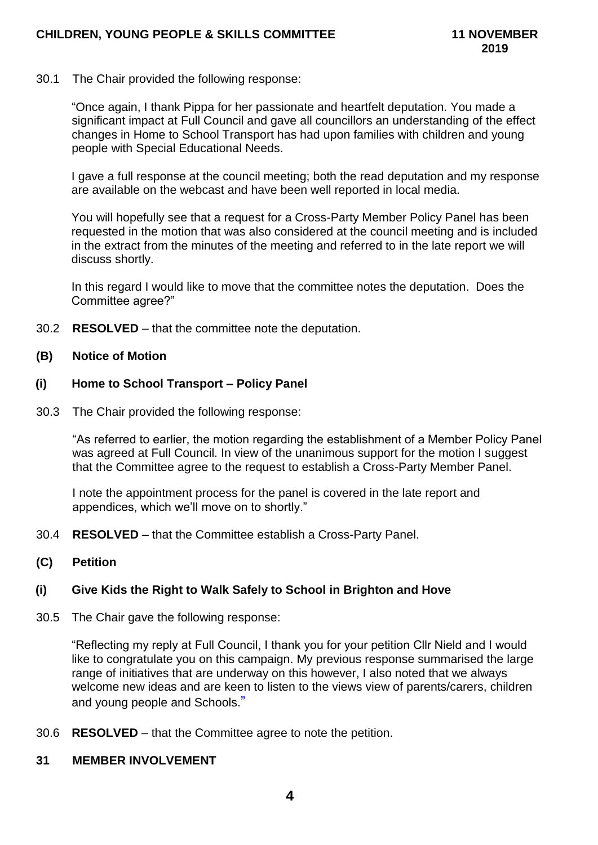30.1 The Chair provided the following response:

"Once again, I thank Pippa for her passionate and heartfelt deputation. You made a significant impact at Full Council and gave all councillors an understanding of the effect changes in Home to School Transport has had upon families with children and young people with Special Educational Needs.

I gave a full response at the council meeting; both the read deputation and my response are available on the webcast and have been well reported in local media.

You will hopefully see that a request for a Cross-Party Member Policy Panel has been requested in the motion that was also considered at the council meeting and is included in the extract from the minutes of the meeting and referred to in the late report we will discuss shortly.

In this regard I would like to move that the committee notes the deputation. Does the Committee agree?"

30.2 **RESOLVED** – that the committee note the deputation.

#### **(B) Notice of Motion**

#### **(i) Home to School Transport – Policy Panel**

30.3 The Chair provided the following response:

"As referred to earlier, the motion regarding the establishment of a Member Policy Panel was agreed at Full Council. In view of the unanimous support for the motion I suggest that the Committee agree to the request to establish a Cross-Party Member Panel.

I note the appointment process for the panel is covered in the late report and appendices, which we'll move on to shortly."

- 30.4 **RESOLVED**  that the Committee establish a Cross-Party Panel.
- **(C) Petition**

## **(i) Give Kids the Right to Walk Safely to School in Brighton and Hove**

30.5 The Chair gave the following response:

"Reflecting my reply at Full Council, I thank you for your petition Cllr Nield and I would like to congratulate you on this campaign. My previous response summarised the large range of initiatives that are underway on this however, I also noted that we always welcome new ideas and are keen to listen to the views view of parents/carers, children and young people and Schools."

30.6 **RESOLVED** – that the Committee agree to note the petition.

#### **31 MEMBER INVOLVEMENT**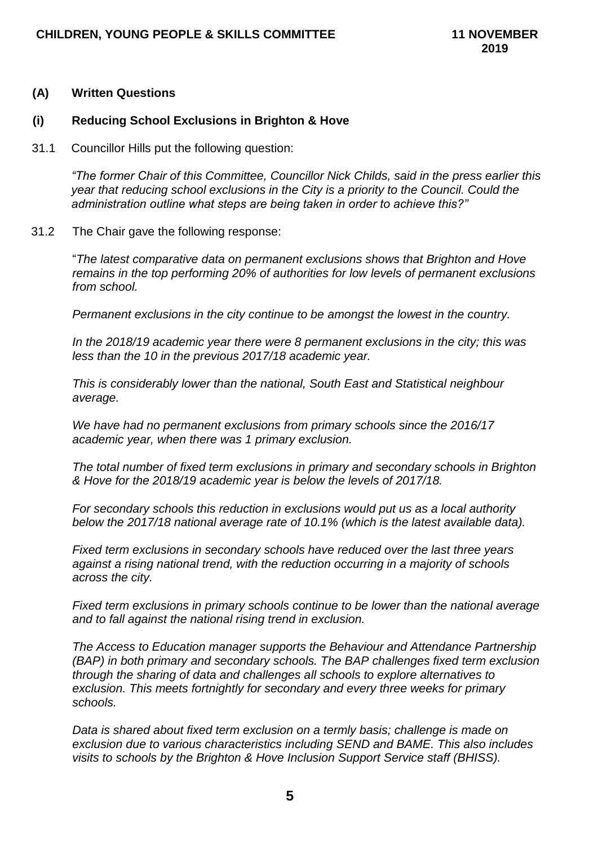#### **(A) Written Questions**

#### **(i) Reducing School Exclusions in Brighton & Hove**

31.1 Councillor Hills put the following question:

*"The former Chair of this Committee, Councillor Nick Childs, said in the press earlier this year that reducing school exclusions in the City is a priority to the Council. Could the administration outline what steps are being taken in order to achieve this?"*

31.2 The Chair gave the following response:

"*The latest comparative data on permanent exclusions shows that Brighton and Hove remains in the top performing 20% of authorities for low levels of permanent exclusions from school.*

*Permanent exclusions in the city continue to be amongst the lowest in the country.* 

*In the 2018/19 academic year there were 8 permanent exclusions in the city; this was less than the 10 in the previous 2017/18 academic year.*

*This is considerably lower than the national, South East and Statistical neighbour average.* 

*We have had no permanent exclusions from primary schools since the 2016/17 academic year, when there was 1 primary exclusion.*

*The total number of fixed term exclusions in primary and secondary schools in Brighton & Hove for the 2018/19 academic year is below the levels of 2017/18.* 

*For secondary schools this reduction in exclusions would put us as a local authority below the 2017/18 national average rate of 10.1% (which is the latest available data).* 

*Fixed term exclusions in secondary schools have reduced over the last three years against a rising national trend, with the reduction occurring in a majority of schools across the city.*

*Fixed term exclusions in primary schools continue to be lower than the national average and to fall against the national rising trend in exclusion.*

*The Access to Education manager supports the Behaviour and Attendance Partnership (BAP) in both primary and secondary schools. The BAP challenges fixed term exclusion through the sharing of data and challenges all schools to explore alternatives to exclusion. This meets fortnightly for secondary and every three weeks for primary schools.* 

*Data is shared about fixed term exclusion on a termly basis; challenge is made on exclusion due to various characteristics including SEND and BAME. This also includes visits to schools by the Brighton & Hove Inclusion Support Service staff (BHISS).*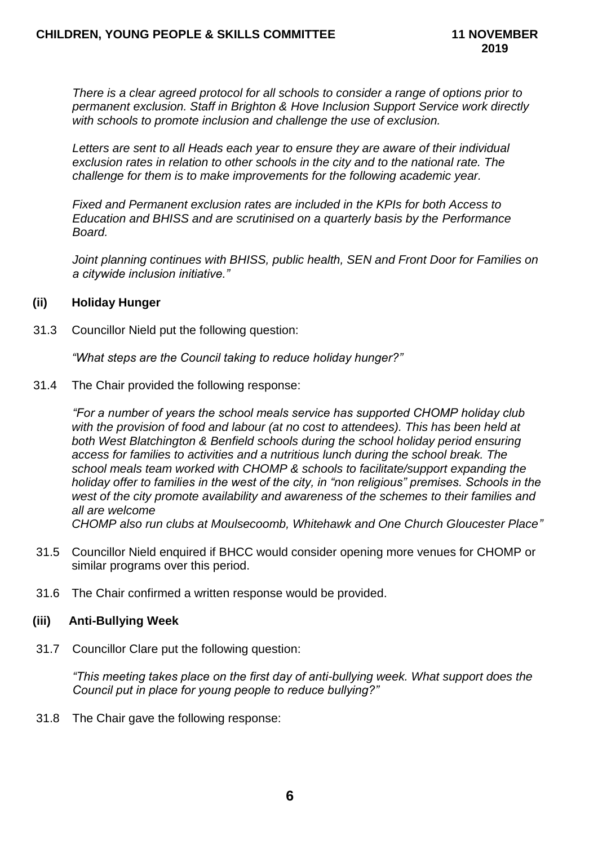*There is a clear agreed protocol for all schools to consider a range of options prior to permanent exclusion. Staff in Brighton & Hove Inclusion Support Service work directly with schools to promote inclusion and challenge the use of exclusion.*

*Letters are sent to all Heads each year to ensure they are aware of their individual exclusion rates in relation to other schools in the city and to the national rate. The challenge for them is to make improvements for the following academic year.*

*Fixed and Permanent exclusion rates are included in the KPIs for both Access to Education and BHISS and are scrutinised on a quarterly basis by the Performance Board.*

*Joint planning continues with BHISS, public health, SEN and Front Door for Families on a citywide inclusion initiative."*

#### **(ii) Holiday Hunger**

31.3 Councillor Nield put the following question:

*"What steps are the Council taking to reduce holiday hunger?"*

31.4 The Chair provided the following response:

*"For a number of years the school meals service has supported CHOMP holiday club with the provision of food and labour (at no cost to attendees). This has been held at both West Blatchington & Benfield schools during the school holiday period ensuring access for families to activities and a nutritious lunch during the school break. The school meals team worked with CHOMP & schools to facilitate/support expanding the holiday offer to families in the west of the city, in "non religious" premises. Schools in the west of the city promote availability and awareness of the schemes to their families and all are welcome* 

*CHOMP also run clubs at Moulsecoomb, Whitehawk and One Church Gloucester Place"*

- 31.5 Councillor Nield enquired if BHCC would consider opening more venues for CHOMP or similar programs over this period.
- 31.6 The Chair confirmed a written response would be provided.

## **(iii) Anti-Bullying Week**

31.7 Councillor Clare put the following question:

*"This meeting takes place on the first day of anti-bullying week. What support does the Council put in place for young people to reduce bullying?"*

31.8 The Chair gave the following response: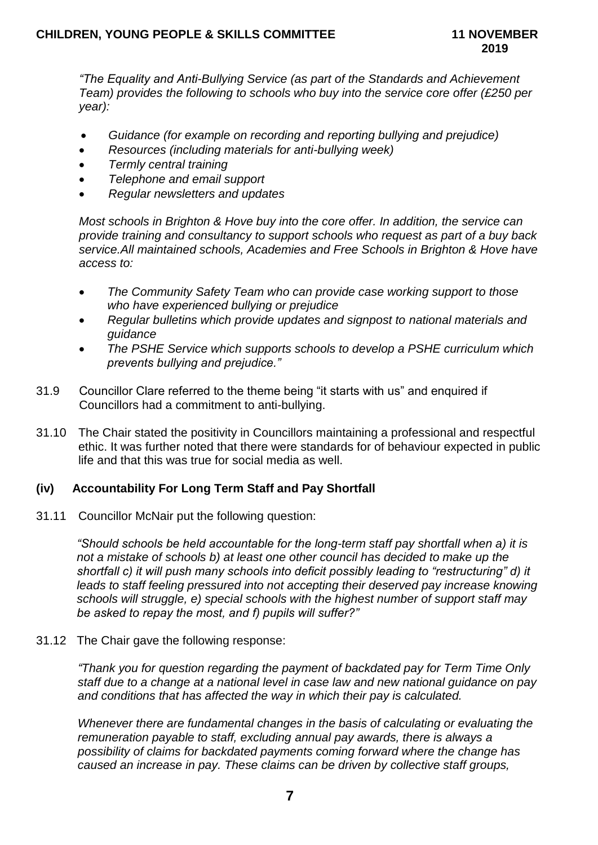*"The Equality and Anti-Bullying Service (as part of the Standards and Achievement Team) provides the following to schools who buy into the service core offer (£250 per year):*

- *Guidance (for example on recording and reporting bullying and prejudice)*
- *Resources (including materials for anti-bullying week)*
- *Termly central training*
- *Telephone and email support*
- *Regular newsletters and updates*

*Most schools in Brighton & Hove buy into the core offer. In addition, the service can provide training and consultancy to support schools who request as part of a buy back service.All maintained schools, Academies and Free Schools in Brighton & Hove have access to:*

- *The Community Safety Team who can provide case working support to those who have experienced bullying or prejudice*
- *Regular bulletins which provide updates and signpost to national materials and guidance*
- *The PSHE Service which supports schools to develop a PSHE curriculum which prevents bullying and prejudice."*
- 31.9 Councillor Clare referred to the theme being "it starts with us" and enquired if Councillors had a commitment to anti-bullying.
- 31.10 The Chair stated the positivity in Councillors maintaining a professional and respectful ethic. It was further noted that there were standards for of behaviour expected in public life and that this was true for social media as well.

# **(iv) Accountability For Long Term Staff and Pay Shortfall**

31.11 Councillor McNair put the following question:

*"Should schools be held accountable for the long-term staff pay shortfall when a) it is not a mistake of schools b) at least one other council has decided to make up the shortfall c) it will push many schools into deficit possibly leading to "restructuring" d) it*  leads to staff feeling pressured into not accepting their deserved pay increase knowing *schools will struggle, e) special schools with the highest number of support staff may be asked to repay the most, and f) pupils will suffer?"*

## 31.12 The Chair gave the following response:

*"Thank you for question regarding the payment of backdated pay for Term Time Only staff due to a change at a national level in case law and new national guidance on pay and conditions that has affected the way in which their pay is calculated.*

*Whenever there are fundamental changes in the basis of calculating or evaluating the remuneration payable to staff, excluding annual pay awards, there is always a possibility of claims for backdated payments coming forward where the change has caused an increase in pay. These claims can be driven by collective staff groups,*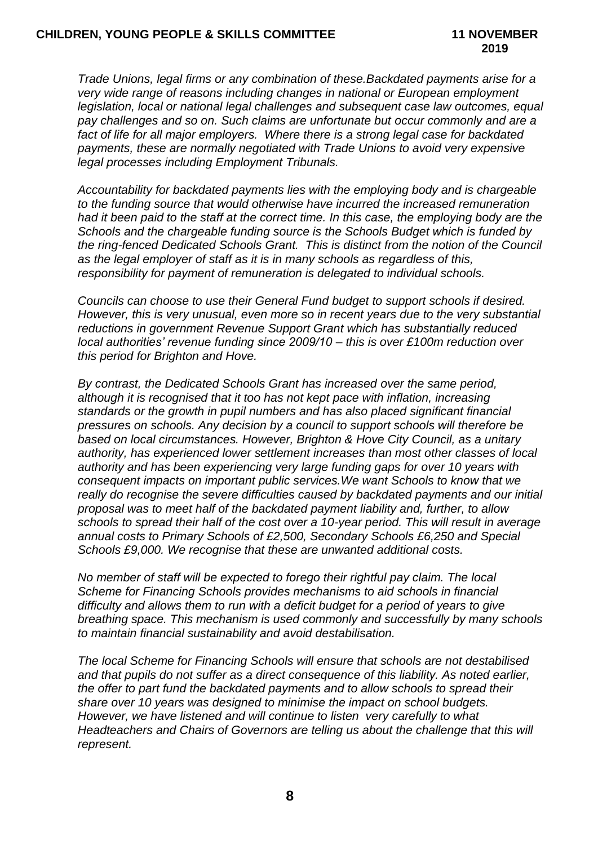*Trade Unions, legal firms or any combination of these.Backdated payments arise for a very wide range of reasons including changes in national or European employment legislation, local or national legal challenges and subsequent case law outcomes, equal pay challenges and so on. Such claims are unfortunate but occur commonly and are a fact of life for all major employers. Where there is a strong legal case for backdated payments, these are normally negotiated with Trade Unions to avoid very expensive legal processes including Employment Tribunals.*

*Accountability for backdated payments lies with the employing body and is chargeable to the funding source that would otherwise have incurred the increased remuneration had it been paid to the staff at the correct time. In this case, the employing body are the Schools and the chargeable funding source is the Schools Budget which is funded by the ring-fenced Dedicated Schools Grant. This is distinct from the notion of the Council as the legal employer of staff as it is in many schools as regardless of this, responsibility for payment of remuneration is delegated to individual schools.*

*Councils can choose to use their General Fund budget to support schools if desired. However, this is very unusual, even more so in recent years due to the very substantial reductions in government Revenue Support Grant which has substantially reduced local authorities' revenue funding since 2009/10 – this is over £100m reduction over this period for Brighton and Hove.* 

*By contrast, the Dedicated Schools Grant has increased over the same period, although it is recognised that it too has not kept pace with inflation, increasing standards or the growth in pupil numbers and has also placed significant financial pressures on schools. Any decision by a council to support schools will therefore be based on local circumstances. However, Brighton & Hove City Council, as a unitary authority, has experienced lower settlement increases than most other classes of local authority and has been experiencing very large funding gaps for over 10 years with consequent impacts on important public services.We want Schools to know that we really do recognise the severe difficulties caused by backdated payments and our initial proposal was to meet half of the backdated payment liability and, further, to allow schools to spread their half of the cost over a 10-year period. This will result in average annual costs to Primary Schools of £2,500, Secondary Schools £6,250 and Special Schools £9,000. We recognise that these are unwanted additional costs.*

*No member of staff will be expected to forego their rightful pay claim. The local Scheme for Financing Schools provides mechanisms to aid schools in financial difficulty and allows them to run with a deficit budget for a period of years to give breathing space. This mechanism is used commonly and successfully by many schools to maintain financial sustainability and avoid destabilisation.*

*The local Scheme for Financing Schools will ensure that schools are not destabilised and that pupils do not suffer as a direct consequence of this liability. As noted earlier, the offer to part fund the backdated payments and to allow schools to spread their share over 10 years was designed to minimise the impact on school budgets. However, we have listened and will continue to listen very carefully to what Headteachers and Chairs of Governors are telling us about the challenge that this will represent.*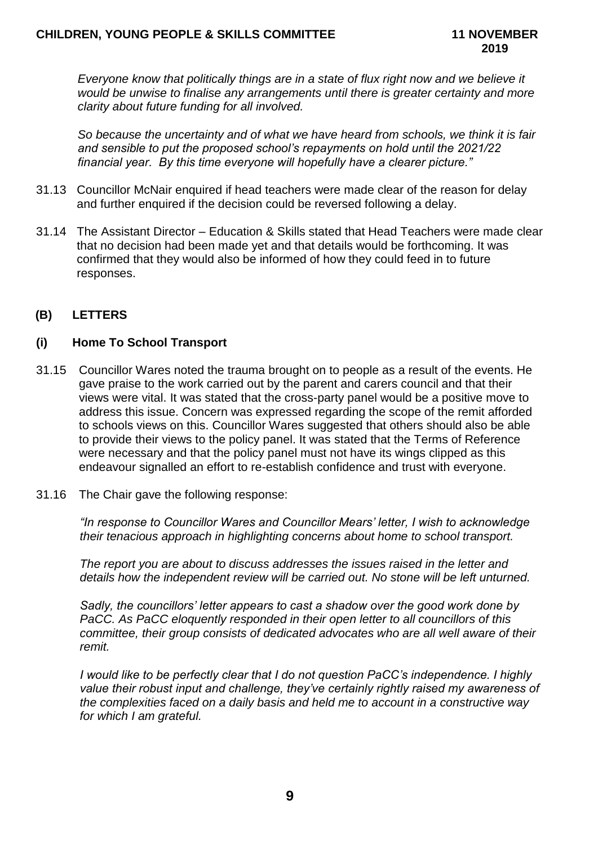*Everyone know that politically things are in a state of flux right now and we believe it would be unwise to finalise any arrangements until there is greater certainty and more clarity about future funding for all involved.*

*So because the uncertainty and of what we have heard from schools, we think it is fair and sensible to put the proposed school's repayments on hold until the 2021/22 financial year. By this time everyone will hopefully have a clearer picture."*

- 31.13 Councillor McNair enquired if head teachers were made clear of the reason for delay and further enquired if the decision could be reversed following a delay.
- 31.14 The Assistant Director Education & Skills stated that Head Teachers were made clear that no decision had been made yet and that details would be forthcoming. It was confirmed that they would also be informed of how they could feed in to future responses.

# **(B) LETTERS**

# **(i) Home To School Transport**

- 31.15 Councillor Wares noted the trauma brought on to people as a result of the events. He gave praise to the work carried out by the parent and carers council and that their views were vital. It was stated that the cross-party panel would be a positive move to address this issue. Concern was expressed regarding the scope of the remit afforded to schools views on this. Councillor Wares suggested that others should also be able to provide their views to the policy panel. It was stated that the Terms of Reference were necessary and that the policy panel must not have its wings clipped as this endeavour signalled an effort to re-establish confidence and trust with everyone.
- 31.16 The Chair gave the following response:

*"In response to Councillor Wares and Councillor Mears' letter, I wish to acknowledge their tenacious approach in highlighting concerns about home to school transport.*

*The report you are about to discuss addresses the issues raised in the letter and details how the independent review will be carried out. No stone will be left unturned.* 

*Sadly, the councillors' letter appears to cast a shadow over the good work done by PaCC. As PaCC eloquently responded in their open letter to all councillors of this committee, their group consists of dedicated advocates who are all well aware of their remit.*

*I would like to be perfectly clear that I do not question PaCC's independence. I highly value their robust input and challenge, they've certainly rightly raised my awareness of the complexities faced on a daily basis and held me to account in a constructive way for which I am grateful.*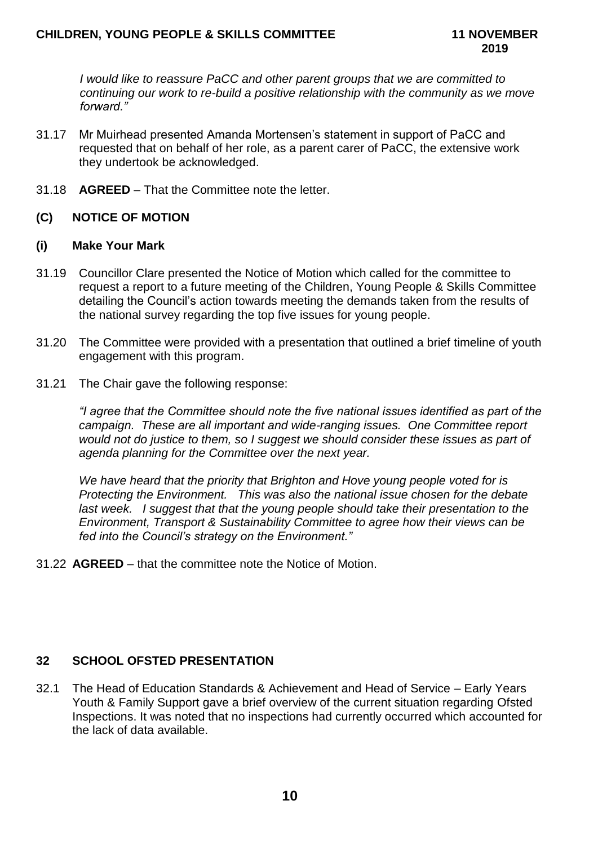*I would like to reassure PaCC and other parent groups that we are committed to continuing our work to re-build a positive relationship with the community as we move forward."*

- 31.17 Mr Muirhead presented Amanda Mortensen's statement in support of PaCC and requested that on behalf of her role, as a parent carer of PaCC, the extensive work they undertook be acknowledged.
- 31.18 **AGREED**  That the Committee note the letter.

# **(C) NOTICE OF MOTION**

## **(i) Make Your Mark**

- 31.19 Councillor Clare presented the Notice of Motion which called for the committee to request a report to a future meeting of the Children, Young People & Skills Committee detailing the Council's action towards meeting the demands taken from the results of the national survey regarding the top five issues for young people.
- 31.20 The Committee were provided with a presentation that outlined a brief timeline of youth engagement with this program.
- 31.21 The Chair gave the following response:

*"I agree that the Committee should note the five national issues identified as part of the campaign. These are all important and wide-ranging issues. One Committee report would not do justice to them, so I suggest we should consider these issues as part of agenda planning for the Committee over the next year.*

*We have heard that the priority that Brighton and Hove young people voted for is Protecting the Environment. This was also the national issue chosen for the debate last week. I suggest that that the young people should take their presentation to the Environment, Transport & Sustainability Committee to agree how their views can be fed into the Council's strategy on the Environment."*

31.22 **AGREED** – that the committee note the Notice of Motion.

# **32 SCHOOL OFSTED PRESENTATION**

32.1 The Head of Education Standards & Achievement and Head of Service – Early Years Youth & Family Support gave a brief overview of the current situation regarding Ofsted Inspections. It was noted that no inspections had currently occurred which accounted for the lack of data available.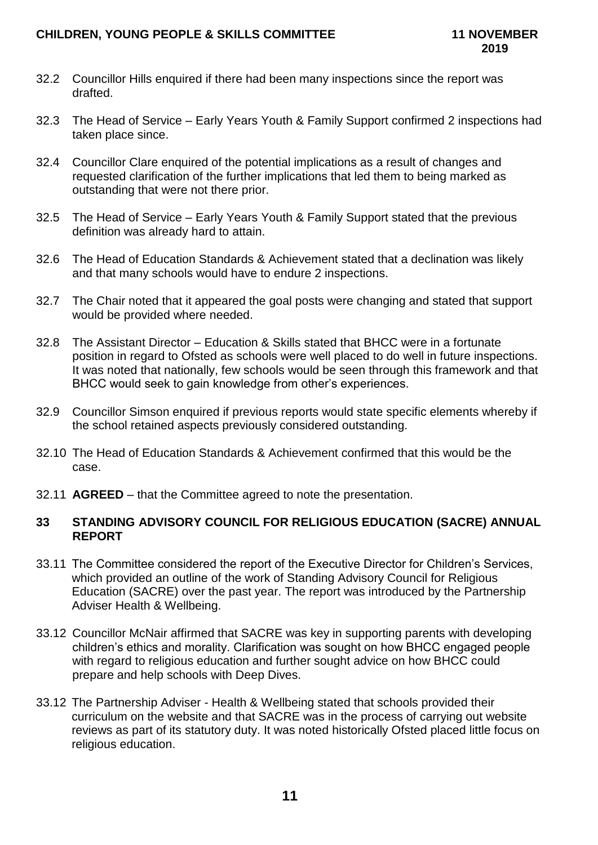## **CHILDREN, YOUNG PEOPLE & SKILLS COMMITTEE 11 NOVEMBER**

- 32.2 Councillor Hills enquired if there had been many inspections since the report was drafted.
- 32.3 The Head of Service Early Years Youth & Family Support confirmed 2 inspections had taken place since.
- 32.4 Councillor Clare enquired of the potential implications as a result of changes and requested clarification of the further implications that led them to being marked as outstanding that were not there prior.
- 32.5 The Head of Service Early Years Youth & Family Support stated that the previous definition was already hard to attain.
- 32.6 The Head of Education Standards & Achievement stated that a declination was likely and that many schools would have to endure 2 inspections.
- 32.7 The Chair noted that it appeared the goal posts were changing and stated that support would be provided where needed.
- 32.8 The Assistant Director Education & Skills stated that BHCC were in a fortunate position in regard to Ofsted as schools were well placed to do well in future inspections. It was noted that nationally, few schools would be seen through this framework and that BHCC would seek to gain knowledge from other's experiences.
- 32.9 Councillor Simson enquired if previous reports would state specific elements whereby if the school retained aspects previously considered outstanding.
- 32.10 The Head of Education Standards & Achievement confirmed that this would be the case.
- 32.11 **AGREED**  that the Committee agreed to note the presentation.

## **33 STANDING ADVISORY COUNCIL FOR RELIGIOUS EDUCATION (SACRE) ANNUAL REPORT**

- 33.11 The Committee considered the report of the Executive Director for Children's Services, which provided an outline of the work of Standing Advisory Council for Religious Education (SACRE) over the past year. The report was introduced by the Partnership Adviser Health & Wellbeing.
- 33.12 Councillor McNair affirmed that SACRE was key in supporting parents with developing children's ethics and morality. Clarification was sought on how BHCC engaged people with regard to religious education and further sought advice on how BHCC could prepare and help schools with Deep Dives.
- 33.12 The Partnership Adviser Health & Wellbeing stated that schools provided their curriculum on the website and that SACRE was in the process of carrying out website reviews as part of its statutory duty. It was noted historically Ofsted placed little focus on religious education.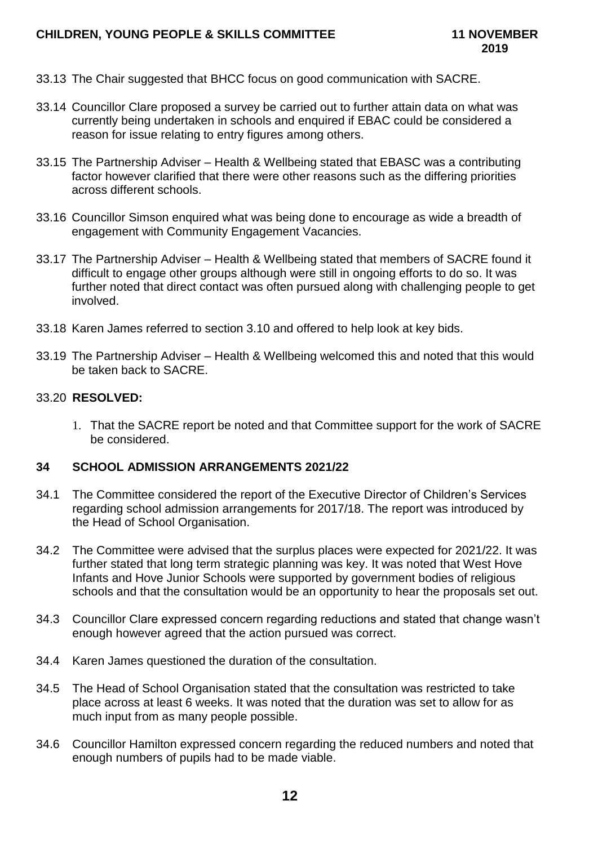- 33.13 The Chair suggested that BHCC focus on good communication with SACRE.
- 33.14 Councillor Clare proposed a survey be carried out to further attain data on what was currently being undertaken in schools and enquired if EBAC could be considered a reason for issue relating to entry figures among others.
- 33.15 The Partnership Adviser Health & Wellbeing stated that EBASC was a contributing factor however clarified that there were other reasons such as the differing priorities across different schools.
- 33.16 Councillor Simson enquired what was being done to encourage as wide a breadth of engagement with Community Engagement Vacancies.
- 33.17 The Partnership Adviser Health & Wellbeing stated that members of SACRE found it difficult to engage other groups although were still in ongoing efforts to do so. It was further noted that direct contact was often pursued along with challenging people to get involved.
- 33.18 Karen James referred to section 3.10 and offered to help look at key bids.
- 33.19 The Partnership Adviser Health & Wellbeing welcomed this and noted that this would be taken back to SACRE.

#### 33.20 **RESOLVED:**

1. That the SACRE report be noted and that Committee support for the work of SACRE be considered.

#### **34 SCHOOL ADMISSION ARRANGEMENTS 2021/22**

- 34.1 The Committee considered the report of the Executive Director of Children's Services regarding school admission arrangements for 2017/18. The report was introduced by the Head of School Organisation.
- 34.2 The Committee were advised that the surplus places were expected for 2021/22. It was further stated that long term strategic planning was key. It was noted that West Hove Infants and Hove Junior Schools were supported by government bodies of religious schools and that the consultation would be an opportunity to hear the proposals set out.
- 34.3 Councillor Clare expressed concern regarding reductions and stated that change wasn't enough however agreed that the action pursued was correct.
- 34.4 Karen James questioned the duration of the consultation.
- 34.5 The Head of School Organisation stated that the consultation was restricted to take place across at least 6 weeks. It was noted that the duration was set to allow for as much input from as many people possible.
- 34.6 Councillor Hamilton expressed concern regarding the reduced numbers and noted that enough numbers of pupils had to be made viable.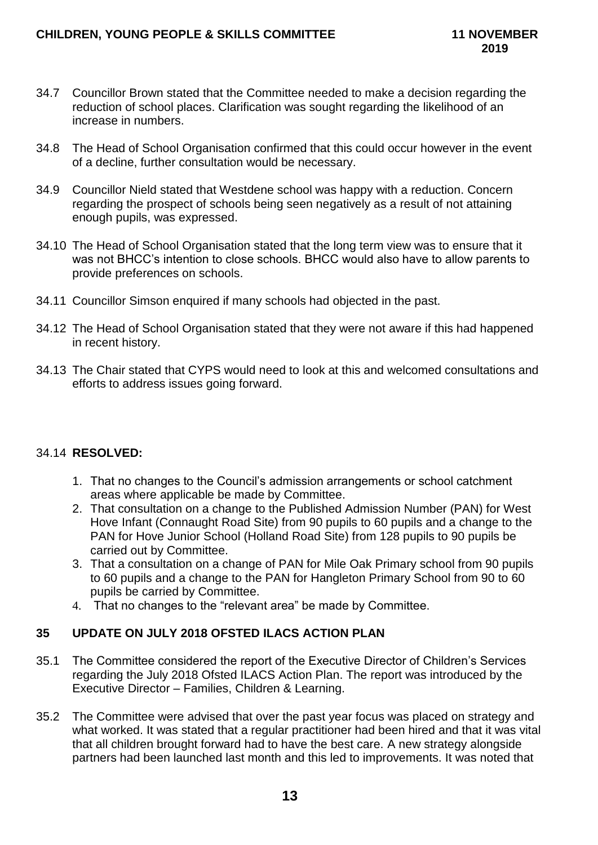- 34.7 Councillor Brown stated that the Committee needed to make a decision regarding the reduction of school places. Clarification was sought regarding the likelihood of an increase in numbers.
- 34.8 The Head of School Organisation confirmed that this could occur however in the event of a decline, further consultation would be necessary.
- 34.9 Councillor Nield stated that Westdene school was happy with a reduction. Concern regarding the prospect of schools being seen negatively as a result of not attaining enough pupils, was expressed.
- 34.10 The Head of School Organisation stated that the long term view was to ensure that it was not BHCC's intention to close schools. BHCC would also have to allow parents to provide preferences on schools.
- 34.11 Councillor Simson enquired if many schools had objected in the past.
- 34.12 The Head of School Organisation stated that they were not aware if this had happened in recent history.
- 34.13 The Chair stated that CYPS would need to look at this and welcomed consultations and efforts to address issues going forward.

# 34.14 **RESOLVED:**

- 1. That no changes to the Council's admission arrangements or school catchment areas where applicable be made by Committee.
- 2. That consultation on a change to the Published Admission Number (PAN) for West Hove Infant (Connaught Road Site) from 90 pupils to 60 pupils and a change to the PAN for Hove Junior School (Holland Road Site) from 128 pupils to 90 pupils be carried out by Committee.
- 3. That a consultation on a change of PAN for Mile Oak Primary school from 90 pupils to 60 pupils and a change to the PAN for Hangleton Primary School from 90 to 60 pupils be carried by Committee.
- 4. That no changes to the "relevant area" be made by Committee.

# **35 UPDATE ON JULY 2018 OFSTED ILACS ACTION PLAN**

- 35.1 The Committee considered the report of the Executive Director of Children's Services regarding the July 2018 Ofsted ILACS Action Plan. The report was introduced by the Executive Director – Families, Children & Learning.
- 35.2 The Committee were advised that over the past year focus was placed on strategy and what worked. It was stated that a regular practitioner had been hired and that it was vital that all children brought forward had to have the best care. A new strategy alongside partners had been launched last month and this led to improvements. It was noted that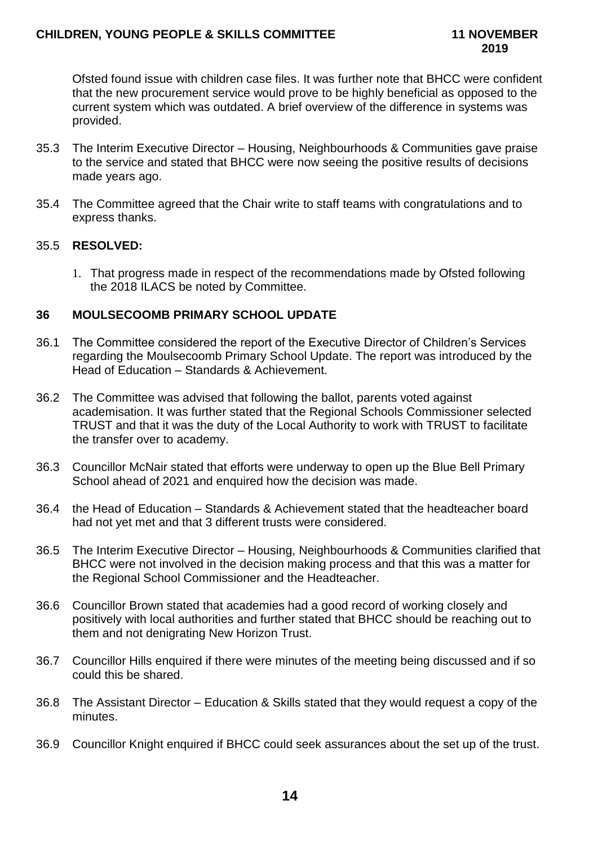Ofsted found issue with children case files. It was further note that BHCC were confident that the new procurement service would prove to be highly beneficial as opposed to the current system which was outdated. A brief overview of the difference in systems was provided.

- 35.3 The Interim Executive Director Housing, Neighbourhoods & Communities gave praise to the service and stated that BHCC were now seeing the positive results of decisions made years ago.
- 35.4 The Committee agreed that the Chair write to staff teams with congratulations and to express thanks.

## 35.5 **RESOLVED:**

1. That progress made in respect of the recommendations made by Ofsted following the 2018 ILACS be noted by Committee.

## **36 MOULSECOOMB PRIMARY SCHOOL UPDATE**

- 36.1 The Committee considered the report of the Executive Director of Children's Services regarding the Moulsecoomb Primary School Update. The report was introduced by the Head of Education – Standards & Achievement.
- 36.2 The Committee was advised that following the ballot, parents voted against academisation. It was further stated that the Regional Schools Commissioner selected TRUST and that it was the duty of the Local Authority to work with TRUST to facilitate the transfer over to academy.
- 36.3 Councillor McNair stated that efforts were underway to open up the Blue Bell Primary School ahead of 2021 and enquired how the decision was made.
- 36.4 the Head of Education Standards & Achievement stated that the headteacher board had not yet met and that 3 different trusts were considered.
- 36.5 The Interim Executive Director Housing, Neighbourhoods & Communities clarified that BHCC were not involved in the decision making process and that this was a matter for the Regional School Commissioner and the Headteacher.
- 36.6 Councillor Brown stated that academies had a good record of working closely and positively with local authorities and further stated that BHCC should be reaching out to them and not denigrating New Horizon Trust.
- 36.7 Councillor Hills enquired if there were minutes of the meeting being discussed and if so could this be shared.
- 36.8 The Assistant Director Education & Skills stated that they would request a copy of the minutes.
- 36.9 Councillor Knight enquired if BHCC could seek assurances about the set up of the trust.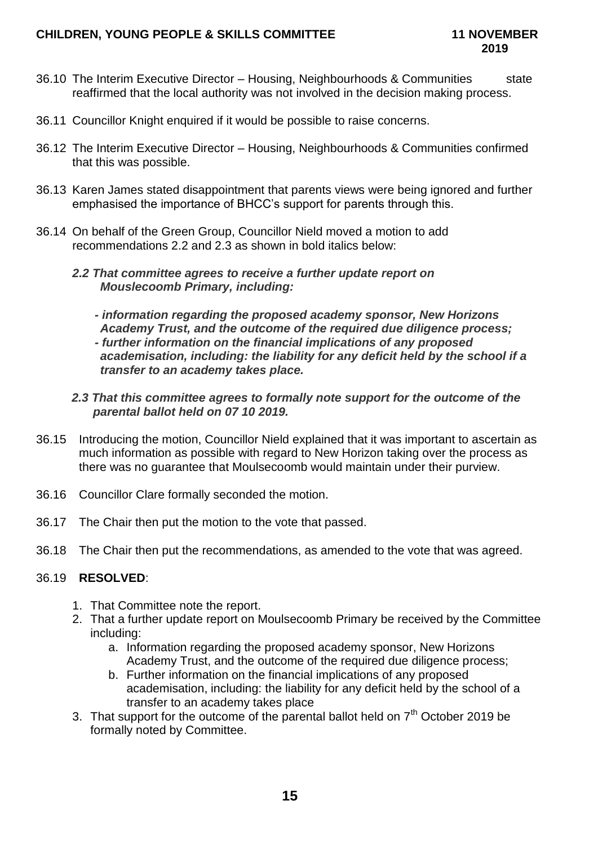# **CHILDREN, YOUNG PEOPLE & SKILLS COMMITTEE 11 NOVEMBER**

- 36.10 The Interim Executive Director Housing, Neighbourhoods & Communities state reaffirmed that the local authority was not involved in the decision making process.
- 36.11 Councillor Knight enquired if it would be possible to raise concerns.
- 36.12 The Interim Executive Director Housing, Neighbourhoods & Communities confirmed that this was possible.
- 36.13 Karen James stated disappointment that parents views were being ignored and further emphasised the importance of BHCC's support for parents through this.
- 36.14 On behalf of the Green Group, Councillor Nield moved a motion to add recommendations 2.2 and 2.3 as shown in bold italics below:
	- *2.2 That committee agrees to receive a further update report on Mouslecoomb Primary, including:*

*- information regarding the proposed academy sponsor, New Horizons Academy Trust, and the outcome of the required due diligence process; - further information on the financial implications of any proposed academisation, including: the liability for any deficit held by the school if a transfer to an academy takes place.*

- *2.3 That this committee agrees to formally note support for the outcome of the parental ballot held on 07 10 2019.*
- 36.15 Introducing the motion, Councillor Nield explained that it was important to ascertain as much information as possible with regard to New Horizon taking over the process as there was no guarantee that Moulsecoomb would maintain under their purview.
- 36.16 Councillor Clare formally seconded the motion.
- 36.17 The Chair then put the motion to the vote that passed.
- 36.18 The Chair then put the recommendations, as amended to the vote that was agreed.

## 36.19 **RESOLVED**:

- 1. That Committee note the report.
- 2. That a further update report on Moulsecoomb Primary be received by the Committee including:
	- a. Information regarding the proposed academy sponsor, New Horizons Academy Trust, and the outcome of the required due diligence process;
	- b. Further information on the financial implications of any proposed academisation, including: the liability for any deficit held by the school of a transfer to an academy takes place
- 3. That support for the outcome of the parental ballot held on  $7<sup>th</sup>$  October 2019 be formally noted by Committee.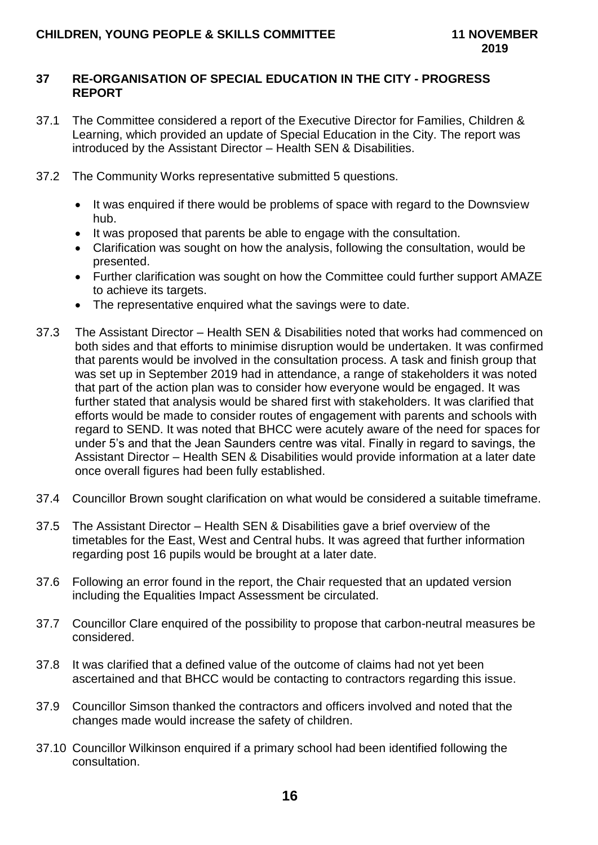## **37 RE-ORGANISATION OF SPECIAL EDUCATION IN THE CITY - PROGRESS REPORT**

- 37.1 The Committee considered a report of the Executive Director for Families, Children & Learning, which provided an update of Special Education in the City. The report was introduced by the Assistant Director – Health SEN & Disabilities.
- 37.2 The Community Works representative submitted 5 questions.
	- It was enquired if there would be problems of space with regard to the Downsview hub.
	- It was proposed that parents be able to engage with the consultation.
	- Clarification was sought on how the analysis, following the consultation, would be presented.
	- Further clarification was sought on how the Committee could further support AMAZE to achieve its targets.
	- The representative enquired what the savings were to date.
- 37.3 The Assistant Director Health SEN & Disabilities noted that works had commenced on both sides and that efforts to minimise disruption would be undertaken. It was confirmed that parents would be involved in the consultation process. A task and finish group that was set up in September 2019 had in attendance, a range of stakeholders it was noted that part of the action plan was to consider how everyone would be engaged. It was further stated that analysis would be shared first with stakeholders. It was clarified that efforts would be made to consider routes of engagement with parents and schools with regard to SEND. It was noted that BHCC were acutely aware of the need for spaces for under 5's and that the Jean Saunders centre was vital. Finally in regard to savings, the Assistant Director – Health SEN & Disabilities would provide information at a later date once overall figures had been fully established.
- 37.4 Councillor Brown sought clarification on what would be considered a suitable timeframe.
- 37.5 The Assistant Director Health SEN & Disabilities gave a brief overview of the timetables for the East, West and Central hubs. It was agreed that further information regarding post 16 pupils would be brought at a later date.
- 37.6 Following an error found in the report, the Chair requested that an updated version including the Equalities Impact Assessment be circulated.
- 37.7 Councillor Clare enquired of the possibility to propose that carbon-neutral measures be considered.
- 37.8 It was clarified that a defined value of the outcome of claims had not yet been ascertained and that BHCC would be contacting to contractors regarding this issue.
- 37.9 Councillor Simson thanked the contractors and officers involved and noted that the changes made would increase the safety of children.
- 37.10 Councillor Wilkinson enquired if a primary school had been identified following the consultation.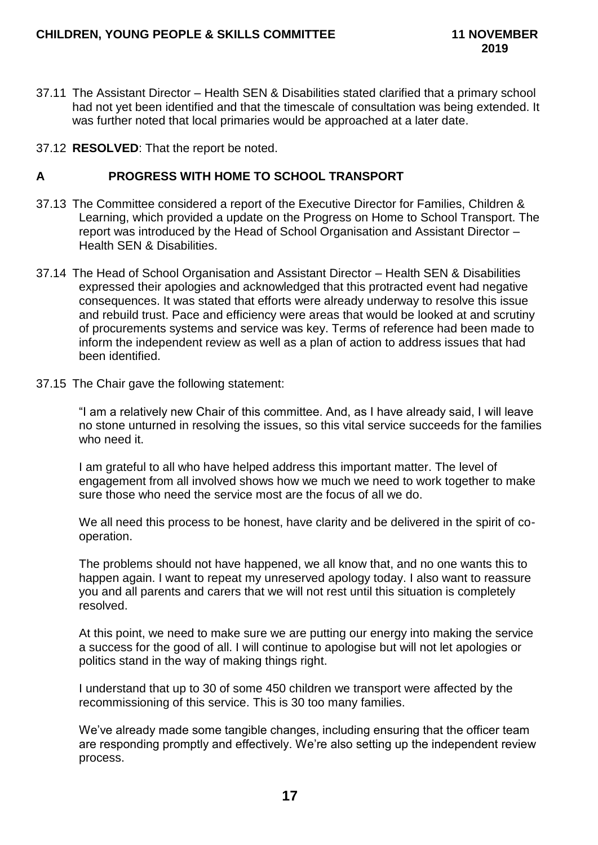- 37.11 The Assistant Director Health SEN & Disabilities stated clarified that a primary school had not yet been identified and that the timescale of consultation was being extended. It was further noted that local primaries would be approached at a later date.
- 37.12 **RESOLVED**: That the report be noted.

## **A PROGRESS WITH HOME TO SCHOOL TRANSPORT**

- 37.13 The Committee considered a report of the Executive Director for Families, Children & Learning, which provided a update on the Progress on Home to School Transport. The report was introduced by the Head of School Organisation and Assistant Director – Health SEN & Disabilities.
- 37.14 The Head of School Organisation and Assistant Director Health SEN & Disabilities expressed their apologies and acknowledged that this protracted event had negative consequences. It was stated that efforts were already underway to resolve this issue and rebuild trust. Pace and efficiency were areas that would be looked at and scrutiny of procurements systems and service was key. Terms of reference had been made to inform the independent review as well as a plan of action to address issues that had been identified.
- 37.15 The Chair gave the following statement:

"I am a relatively new Chair of this committee. And, as I have already said, I will leave no stone unturned in resolving the issues, so this vital service succeeds for the families who need it.

I am grateful to all who have helped address this important matter. The level of engagement from all involved shows how we much we need to work together to make sure those who need the service most are the focus of all we do.

We all need this process to be honest, have clarity and be delivered in the spirit of cooperation.

The problems should not have happened, we all know that, and no one wants this to happen again. I want to repeat my unreserved apology today. I also want to reassure you and all parents and carers that we will not rest until this situation is completely resolved.

At this point, we need to make sure we are putting our energy into making the service a success for the good of all. I will continue to apologise but will not let apologies or politics stand in the way of making things right.

I understand that up to 30 of some 450 children we transport were affected by the recommissioning of this service. This is 30 too many families.

We've already made some tangible changes, including ensuring that the officer team are responding promptly and effectively. We're also setting up the independent review process.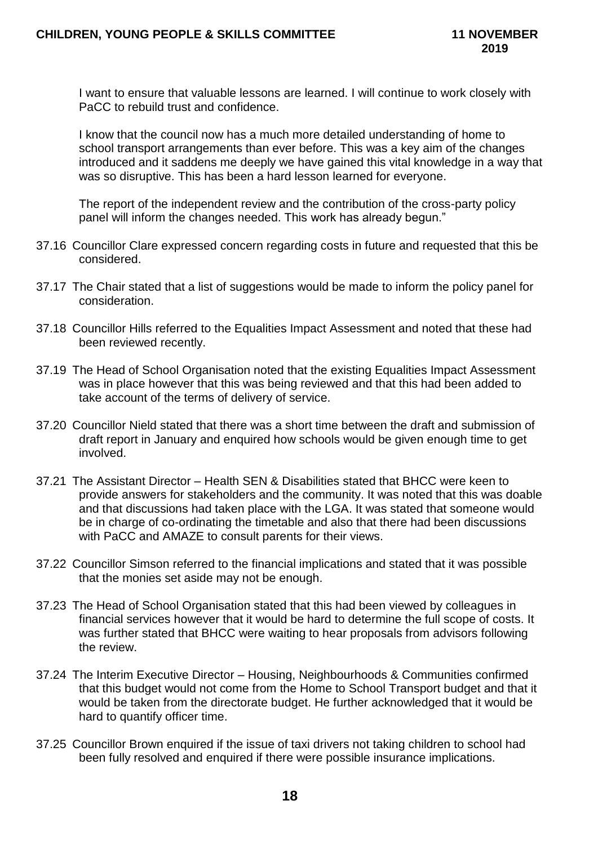I want to ensure that valuable lessons are learned. I will continue to work closely with PaCC to rebuild trust and confidence.

I know that the council now has a much more detailed understanding of home to school transport arrangements than ever before. This was a key aim of the changes introduced and it saddens me deeply we have gained this vital knowledge in a way that was so disruptive. This has been a hard lesson learned for everyone.

The report of the independent review and the contribution of the cross-party policy panel will inform the changes needed. This work has already begun."

- 37.16 Councillor Clare expressed concern regarding costs in future and requested that this be considered.
- 37.17 The Chair stated that a list of suggestions would be made to inform the policy panel for consideration.
- 37.18 Councillor Hills referred to the Equalities Impact Assessment and noted that these had been reviewed recently.
- 37.19 The Head of School Organisation noted that the existing Equalities Impact Assessment was in place however that this was being reviewed and that this had been added to take account of the terms of delivery of service.
- 37.20 Councillor Nield stated that there was a short time between the draft and submission of draft report in January and enquired how schools would be given enough time to get involved.
- 37.21 The Assistant Director Health SEN & Disabilities stated that BHCC were keen to provide answers for stakeholders and the community. It was noted that this was doable and that discussions had taken place with the LGA. It was stated that someone would be in charge of co-ordinating the timetable and also that there had been discussions with PaCC and AMAZE to consult parents for their views.
- 37.22 Councillor Simson referred to the financial implications and stated that it was possible that the monies set aside may not be enough.
- 37.23 The Head of School Organisation stated that this had been viewed by colleagues in financial services however that it would be hard to determine the full scope of costs. It was further stated that BHCC were waiting to hear proposals from advisors following the review.
- 37.24 The Interim Executive Director Housing, Neighbourhoods & Communities confirmed that this budget would not come from the Home to School Transport budget and that it would be taken from the directorate budget. He further acknowledged that it would be hard to quantify officer time.
- 37.25 Councillor Brown enquired if the issue of taxi drivers not taking children to school had been fully resolved and enquired if there were possible insurance implications.